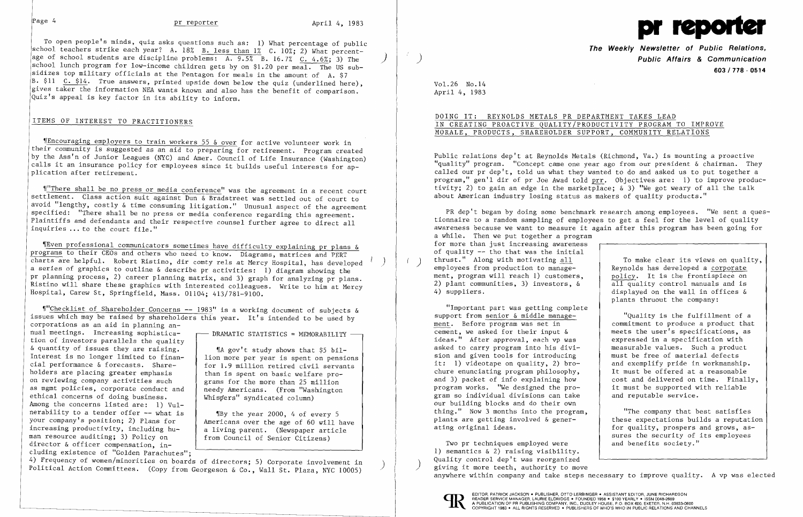To open people's minds, quiz asks questions such as: 1) What percentage of public school teachers strike each year? A. 18% B. less than 1% C. 10%; 2) What percentage of school students are discipline problems:  $\overline{A}$ .  $\overline{9.5\%}$  B. 16.7% C. 4.6%; 3) The school lunch program for low-income children gets by on \$1.20 per meal. The US subsidizes top military officials at the Pentagon for meals in the amount of A. \$7 B. \$11  $C.$  \$14. True answers, printed upside down below the quiz (underlined here), gives taker the information NEA wants known and also has the benefit of comparison. Quiz's appeal is key factor in its ability to inform.

~1"There shall be no press or media conference" was the agreement in a recent court settlement. Class action suit against Dun & Bradstreet was settled out of court to avoid "lengthy, costly & time consuming litigation." Unusual aspect of the agreement specified: "There shall be no press or media conference regarding this agreement. Plaintiffs and defendants and their respective counsel further agree to direct all inquiries  $\ldots$  to the court file."

## ITEMS OF INTEREST TO PRACTITIONERS

~fEncouraging employers to train workers 55 & over for active volunteer work in their community is suggested as an aid to preparing for retirement. Program created by the Ass'n of Junior Leagues (NYC) and Amer. Council of Life Insurance (Washington) calls it an insurance policy for employees since it builds useful interests for ap plication after retirement.

~[Even professional communicators sometimes have difficulty explaining pr plans & programs to their CEOs and others who need to know. Diagrams, matrices and PERT charts are helpful. Robert Ristino, dir comty rels at Mercy Hospital, has developed ) a series of graphics to outline & describe pr activities: 1) diagram showing the pr planning process, 2) career planning matrix, and 3) graph for analyzing pr plans. Ristino will share these graphics with interested colleagues. Write to him at Mercy Hospital, Carew St, Springfield, Mass. 01104; 413/781-9100.

DOING IT: REYNOLDS METALS PR DEPARTMENT TAKES LEAD IN CREATING PROACTIVE QUALITY/PRODUCTIVITY PROGRAM TO IMPROVE MORALE, PRODUCTS, SHAREHOLDER SUPPORT, COMMUNITY RELATIONS

~1"Checklist of Shareholder Concerns **--** 1983" is a working document of subjects & issues which may be raised by shareholders this year. It's intended to be used by

PR dep't began by doing some benchmark research among employees. "We sent a questionnaire to a random sampling of employees to get a feel for the level of quality awareness because we want to measure it again after this program has been going for a while. Then we put together a program for more than just increasing awareness of quality **--** tho that was the initial thrust." Along with motivating <u>all</u> To make clear its views on quality,<br>
employees from production to manage-<br>
ment, program will reach 1) customers.<br>
policy. It is the frontispiece on ment, program will reach 1) customers,  $\begin{array}{c|c} \text{policy. It is the front is piece on} \\ \text{all quality control manuals and is} \end{array}$ 2) plant communities, 3) investors,  $\&$  4) suppliers. displayed on the wall in offices  $\&$ plants thruout the company:

"Important part was getting complete support from senior & middle manage-<br>ment. Before program was set in <br>commitment to produce a product that cement, we asked for their input  $\&$  meets the user's specifications, a<br>ideas." After approval, each vp was expressed in a specification with ideas." After approval, each vp was <br>asked to carry program into his divi-<br>measurable values. Such a product asked to carry program into his divi-<br>sion and given tools for introducing<br>must be free of material defects sion and given tools for introducing it: 1) videotape on quality, 2) bro-<br>
chure enunciating program philosophy,<br>
It must be offered at a reasonable chure enunciating program philosophy,  $\begin{array}{c}$  It must be offered at a reasonable and 3) packet of info explaining how  $\begin{array}{c} \text{cost} \text{and delivered on time. Finally.} \end{array}$ and 3) packet of info explaining how cost and delivered on time. Finally program works. "We designed the pro-<br>it must be supported with reliable program works. "We designed the pro $\sim$  it must be supported with relations can take and reputable service. gram so individual divisions can take our building blocks and do their own thing." Now 3 months into the program, plants are getting involved & gener-<br>ating original ideas.<br>for quality, prospers and grows, as-

corporations as an aid in planning annual meetings. Increasing sophistica-<br>tion of investors parallels the quality & quantity of issues they are raising.  $\parallel$   $\parallel$  A gov't study shows that \$5 bil-<br>Interest is no longer limited to finan-  $\parallel$  lion more per year is spent on pensions Interest is no longer limited to finan-<br>cial performance  $\&$  forecasts. Share-<br>for 1.9 million retired civil servants cial performance & forecasts. Share-<br>holders are placing greater emphasis  $\begin{array}{c} \hbox{for 1.9 million retired civil servar} \\ \hbox{than is spent on basic welfare pro-} \end{array}$ holders are placing greater emphasis  $\left\{\n\begin{array}{c}\n\text{than is spent on basic welfare pro-}\n\text{on reviewing company activities such}\n\end{array}\n\right\}$ on reviewing company activities such grams for the more than 25 million<br>as mgmt policies, corporate conduct and enedy Americans. (From "Washington as mgmt policies, corporate conduct and  $\left\{\begin{array}{l}\text{needy Americans. (From "Was' ethical concerns of doing business.)}\n\end{array}\right.$ ethical concerns of doing business. Among the concerns listed are: 1) Vulnerability to a tender offer  $--$  what is  $\parallel$  **IBy the year 2000, 4 of every 5** your company's position; 2) Plans for <br>increasing productivity, including  $hu-$  a living parent. (Newspaper article increasing productivity, including  $h$ u a living parent. (Newspaper article nan resource auditing; 3) Policy on from Council of Senior Citizens) man resource auditing; 3) Policy on director & officer compensation, in-

cluding existence of "Golden Parachutes";<br>4) Frequency of women/minorities on boards of directors; 5) Corporate involvement in Political Action Committees. (Copy from Georgeson & Co., Wall St. Plaza, NYC 10005)

 $\mathcal{L}^{\mathcal{L}}$ 

 "The company that best satisfies for quality, prospers and grows, assures the security of its employees<br>and benefits society."

Two pr techniques employed were 1) semantics & 2) raising visibility. Quality control dep't was reorganized giving it more teeth, authority to move anywhere within company and take steps necessary to improve quality. A vp was elected



EDITOR, PATRICK JACKSON • PUBLISHER, OTTO LERBINGER • ASSISTANT EDITOR, JUNE RICHARDSON<br>READER SERVICE MANAGER, LAURIE ELDRIDGE • FOUNDED 1958 • \$100 YEARLY • ISSN 0048-2609 BEADER SERVICE MANAGER, LAURIE ELDRIDGE • FOUNDED 1958 • \$100 YEARLY • ISSN 0048-2609<br>A PUBLICATION OF PR PUBLISHING COMPANY, INC., DUDLEY HOUSE, P.O. BOX 600, EXETER, N.H. 03833-0600<br>COPYRIGHT 1983 • ALL RIGHTS RESERVED •



**The Weekly Newsletter of Public Relations,**  ) **Public Affairs & Communication 603/778·0514** 

commitment to produce a product that<br>meets the user's specifications, as

Vol. 26 No. 14 April 4, 1983

Public relations dep't at Reynolds Metals (Richmond, Va.) is mounting a proactive "quality" program. "Concept came one year ago from our president & chairman. They called our pr dep't, told us what they wanted to do and asked us to put together a program," gen'l dir of pr Joe Awad told prr. Objectives are: 1) to improve productivity; 2) to gain an edge in the marketplace;  $\&$  3) "We got weary of all the talk about American industry losing status as makers of quality products."